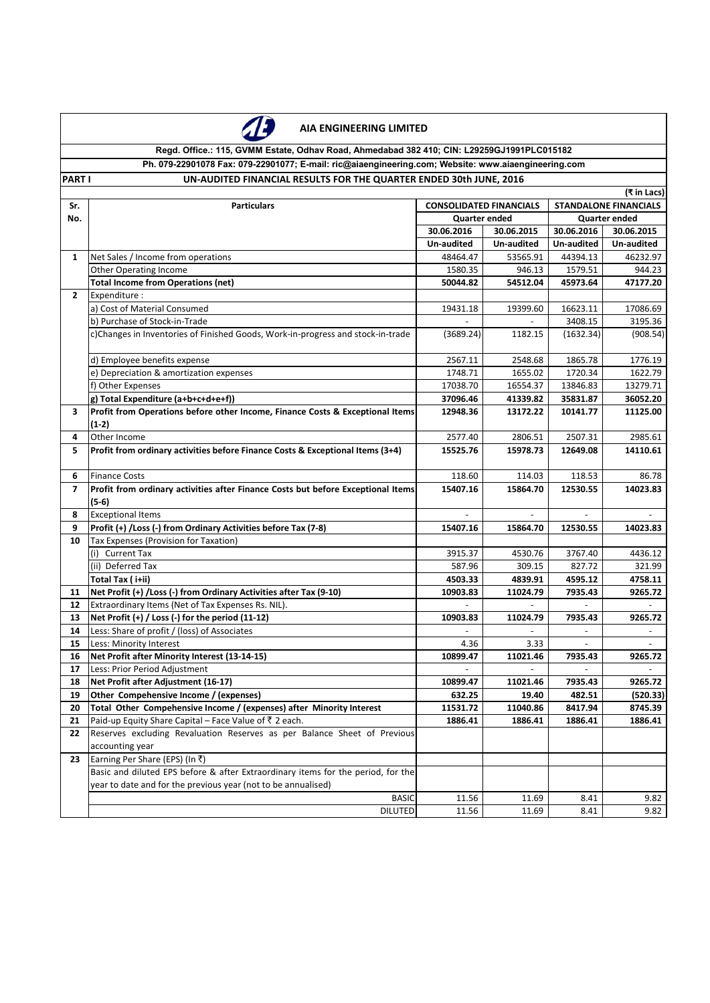

## **AIA ENGINEERING LIMITED**

## **Ph. 079-22901078 Fax: 079-22901077; E-mail: ric@aiaengineering.com; Website: www.aiaengineering.com Regd. Office.: 115, GVMM Estate, Odhav Road, Ahmedabad 382 410; CIN: L29259GJ1991PLC015182**

**PART I SERVICE STATES FINANCIAL RESULTS FOR THE QUARTER ENDED 30th JUNE, 2016** 

|                | (₹ in Lacs)                                                                                            |                                |                          |                          |                              |  |  |  |
|----------------|--------------------------------------------------------------------------------------------------------|--------------------------------|--------------------------|--------------------------|------------------------------|--|--|--|
| Sr.            | <b>Particulars</b>                                                                                     | <b>CONSOLIDATED FINANCIALS</b> |                          |                          | <b>STANDALONE FINANCIALS</b> |  |  |  |
| No.            |                                                                                                        | Quarter ended                  |                          | <b>Quarter ended</b>     |                              |  |  |  |
|                |                                                                                                        | 30.06.2016                     | 30.06.2015               | 30.06.2016               | 30.06.2015                   |  |  |  |
|                |                                                                                                        | Un-audited                     | Un-audited               | Un-audited               | Un-audited                   |  |  |  |
| $\mathbf{1}$   | Net Sales / Income from operations                                                                     | 48464.47                       | 53565.91                 | 44394.13                 | 46232.97                     |  |  |  |
|                | <b>Other Operating Income</b>                                                                          | 1580.35                        | 946.13                   | 1579.51                  | 944.23                       |  |  |  |
|                | <b>Total Income from Operations (net)</b>                                                              | 50044.82                       | 54512.04                 | 45973.64                 | 47177.20                     |  |  |  |
| $\mathbf{2}$   | Expenditure :                                                                                          |                                |                          |                          |                              |  |  |  |
|                | a) Cost of Material Consumed                                                                           | 19431.18                       | 19399.60                 | 16623.11                 | 17086.69                     |  |  |  |
|                | b) Purchase of Stock-in-Trade                                                                          |                                |                          | 3408.15                  | 3195.36                      |  |  |  |
|                | c)Changes in Inventories of Finished Goods, Work-in-progress and stock-in-trade                        | (3689.24)                      | 1182.15                  | (1632.34)                | (908.54)                     |  |  |  |
|                |                                                                                                        |                                |                          |                          |                              |  |  |  |
|                | d) Employee benefits expense                                                                           | 2567.11                        | 2548.68                  | 1865.78                  | 1776.19                      |  |  |  |
|                | e) Depreciation & amortization expenses                                                                | 1748.71                        | 1655.02                  | 1720.34                  | 1622.79                      |  |  |  |
|                | f) Other Expenses                                                                                      | 17038.70                       | 16554.37                 | 13846.83                 | 13279.71                     |  |  |  |
|                | g) Total Expenditure (a+b+c+d+e+f))                                                                    | 37096.46                       | 41339.82                 | 35831.87                 | 36052.20                     |  |  |  |
| 3              | Profit from Operations before other Income, Finance Costs & Exceptional Items                          | 12948.36                       | 13172.22                 | 10141.77                 | 11125.00                     |  |  |  |
|                | $(1-2)$                                                                                                |                                |                          |                          |                              |  |  |  |
| 4              | Other Income                                                                                           | 2577.40                        | 2806.51                  | 2507.31                  | 2985.61                      |  |  |  |
| 5              | Profit from ordinary activities before Finance Costs & Exceptional Items (3+4)                         | 15525.76                       | 15978.73                 | 12649.08                 | 14110.61                     |  |  |  |
|                |                                                                                                        |                                |                          |                          |                              |  |  |  |
| 6              | <b>Finance Costs</b>                                                                                   | 118.60                         | 114.03                   | 118.53                   | 86.78                        |  |  |  |
| $\overline{ }$ | Profit from ordinary activities after Finance Costs but before Exceptional Items                       | 15407.16                       | 15864.70                 | 12530.55                 | 14023.83                     |  |  |  |
|                | $(5-6)$                                                                                                |                                |                          |                          |                              |  |  |  |
| 8              | <b>Exceptional Items</b>                                                                               | $\blacksquare$                 | $\overline{\phantom{a}}$ | $\sim$                   |                              |  |  |  |
| 9              | Profit (+) / Loss (-) from Ordinary Activities before Tax (7-8)                                        | 15407.16                       | 15864.70                 | 12530.55                 | 14023.83                     |  |  |  |
| 10             | Tax Expenses (Provision for Taxation)                                                                  |                                |                          |                          |                              |  |  |  |
|                | (i) Current Tax                                                                                        | 3915.37                        | 4530.76                  | 3767.40                  | 4436.12                      |  |  |  |
|                | (ii) Deferred Tax                                                                                      | 587.96                         | 309.15                   | 827.72                   | 321.99                       |  |  |  |
|                | Total Tax (i+ii)<br>Net Profit (+) /Loss (-) from Ordinary Activities after Tax (9-10)                 | 4503.33                        | 4839.91                  | 4595.12                  | 4758.11                      |  |  |  |
| 11             |                                                                                                        | 10903.83                       | 11024.79                 | 7935.43                  | 9265.72                      |  |  |  |
| 12             | Extraordinary Items (Net of Tax Expenses Rs. NIL).<br>Net Profit (+) / Loss (-) for the period (11-12) |                                |                          |                          |                              |  |  |  |
| 13<br>14       | Less: Share of profit / (loss) of Associates                                                           | 10903.83                       | 11024.79                 | 7935.43                  | 9265.72                      |  |  |  |
| 15             | Less: Minority Interest                                                                                | 4.36                           | 3.33                     | $\overline{\phantom{a}}$ | $\overline{\phantom{a}}$     |  |  |  |
| 16             | Net Profit after Minority Interest (13-14-15)                                                          | 10899.47                       | 11021.46                 | 7935.43                  | 9265.72                      |  |  |  |
| 17             | Less: Prior Period Adjustment                                                                          | $\blacksquare$                 | $\blacksquare$           |                          |                              |  |  |  |
| 18             | Net Profit after Adjustment (16-17)                                                                    | 10899.47                       | 11021.46                 | 7935.43                  | 9265.72                      |  |  |  |
| 19             | Other Compehensive Income / (expenses)                                                                 | 632.25                         | 19.40                    | 482.51                   | (520.33)                     |  |  |  |
| 20             | Total Other Compehensive Income / (expenses) after Minority Interest                                   | 11531.72                       | 11040.86                 | 8417.94                  | 8745.39                      |  |  |  |
| 21             | Paid-up Equity Share Capital - Face Value of ₹ 2 each.                                                 | 1886.41                        | 1886.41                  | 1886.41                  | 1886.41                      |  |  |  |
| 22             | Reserves excluding Revaluation Reserves as per Balance Sheet of Previous                               |                                |                          |                          |                              |  |  |  |
|                | accounting year                                                                                        |                                |                          |                          |                              |  |  |  |
| 23             | Earning Per Share (EPS) (In ₹)                                                                         |                                |                          |                          |                              |  |  |  |
|                | Basic and diluted EPS before & after Extraordinary items for the period, for the                       |                                |                          |                          |                              |  |  |  |
|                | year to date and for the previous year (not to be annualised)                                          |                                |                          |                          |                              |  |  |  |
|                | <b>BASIC</b>                                                                                           | 11.56                          | 11.69                    | 8.41                     | 9.82                         |  |  |  |
|                | <b>DILUTED</b>                                                                                         | 11.56                          | 11.69                    | 8.41                     | 9.82                         |  |  |  |
|                |                                                                                                        |                                |                          |                          |                              |  |  |  |